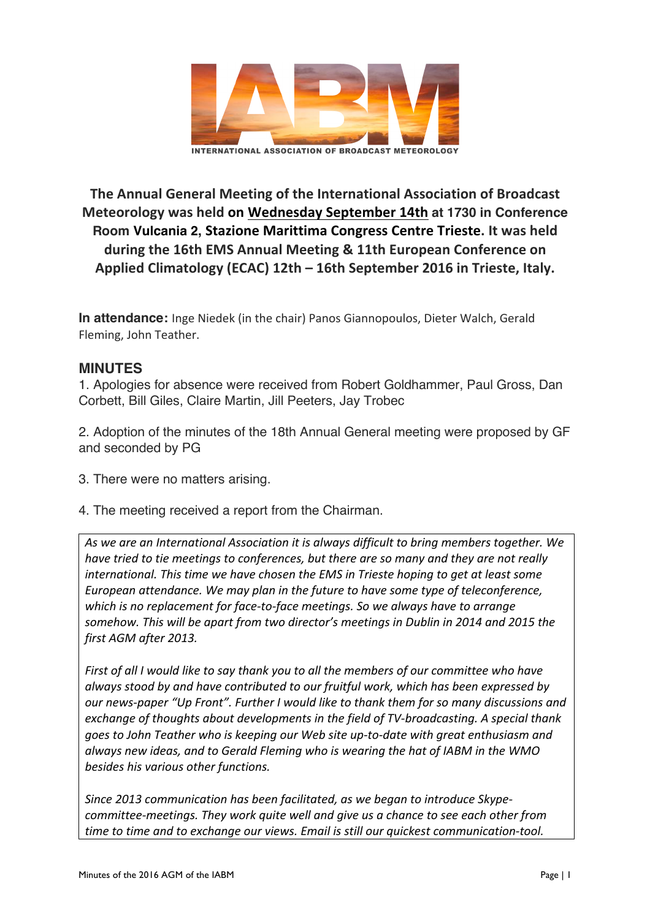

**The Annual General Meeting of the International Association of Broadcast Meteorology was held on Wednesday September 14th at 1730 in Conference Room Vulcania 2, Stazione Marittima Congress Centre Trieste. It was held** during the 16th EMS Annual Meeting & 11th European Conference on **Applied Climatology (ECAC) 12th – 16th September 2016 in Trieste, Italy.**

**In attendance:** Inge Niedek (in the chair) Panos Giannopoulos, Dieter Walch, Gerald Fleming, John Teather.

## **MINUTES**

1. Apologies for absence were received from Robert Goldhammer, Paul Gross, Dan Corbett, Bill Giles, Claire Martin, Jill Peeters, Jay Trobec

2. Adoption of the minutes of the 18th Annual General meeting were proposed by GF and seconded by PG

- 3. There were no matters arising.
- 4. The meeting received a report from the Chairman.

As we are an International Association it is always difficult to bring members together. We *have tried to tie meetings to conferences, but there are so many and they are not really international. This time we have chosen the EMS in Trieste hoping to get at least some European attendance.* We may plan in the future to have some type of teleconference, *which* is no replacement for face-to-face meetings. So we always have to arrange somehow. This will be apart from two director's meetings in Dublin in 2014 and 2015 the first AGM after 2013.

*First* of all *I* would like to say thank you to all the members of our committee who have always stood by and have contributed to our fruitful work, which has been expressed by *our* news-paper "Up Front". Further I would like to thank them for so many discussions and *exchange of thoughts about developments in the field of TV-broadcasting. A special thank* goes to John Teather who is keeping our Web site up-to-date with great enthusiasm and always new ideas, and to Gerald Fleming who is wearing the hat of IABM in the WMO besides his various other functions.

Since 2013 communication has been facilitated, as we began to introduce Skype*committee-meetings. They work quite well and give us a chance to see each other from* time to time and to exchange our views. Email is still our quickest communication-tool.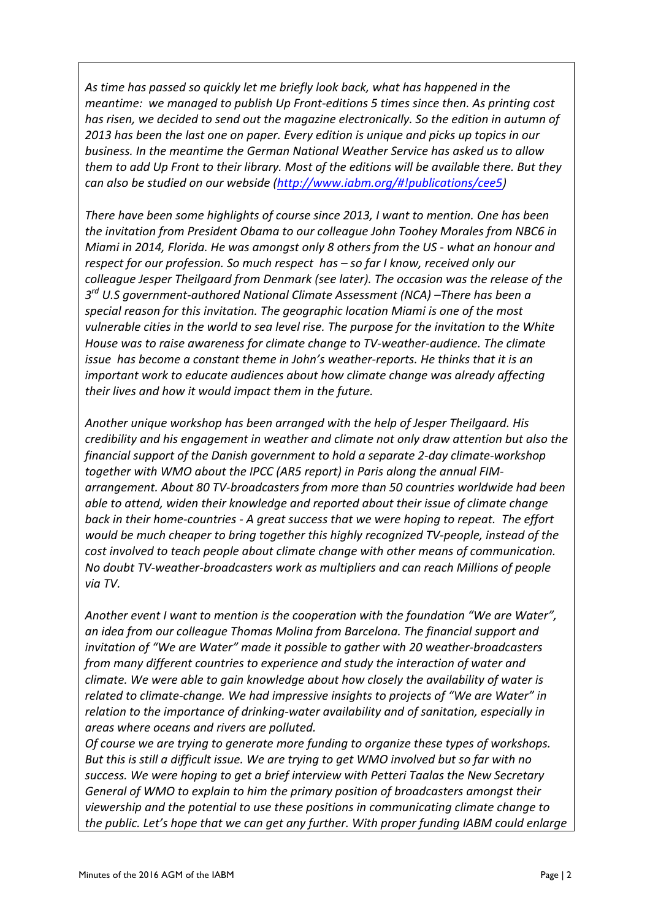As time has passed so quickly let me briefly look back, what has happened in the *meantime:* we managed to publish Up Front-editions 5 times since then. As printing cost has risen, we decided to send out the magazine electronically. So the edition in autumn of 2013 has been the last one on paper. Every edition is unique and picks up topics in our *business. In the meantime the German National Weather Service has asked us to allow them to add Up Front to their library. Most of the editions will be available there. But they can also be studied on our webside (http://www.iabm.org/#!publications/cee5)* 

*There have been some highlights of course since 2013, I want to mention. One has been* the invitation from President Obama to our colleague John Toohey Morales from NBC6 in *Miami* in 2014, Florida. He was amongst only 8 others from the US - what an honour and *respect for our profession.* So much respect has - so far I know, received only our colleague Jesper Theilgaard from Denmark (see later). The occasion was the release of the  $3^{rd}$  U.S government-authored National Climate Assessment (NCA) –There has been a special reason for this invitation. The geographic location Miami is one of the most vulnerable cities in the world to sea level rise. The purpose for the invitation to the White House was to raise awareness for climate change to TV-weather-audience. The climate *issue has become a constant theme in John's weather-reports. He thinks that it is an important* work to educate audiences about how climate change was already affecting their lives and how it would impact them in the future.

Another unique workshop has been arranged with the help of Jesper Theilgaard. His *credibility* and his engagement in weather and climate not only draw attention but also the *financial support of the Danish government to hold a separate 2-day climate-workshop* together with WMO about the IPCC (AR5 report) in Paris along the annual FIMarrangement. About 80 TV-broadcasters from more than 50 countries worldwide had been *able to attend, widen their knowledge and reported about their issue of climate change back in their home-countries - A great success that we were hoping to repeat. The effort would be much cheaper to bring together this highly recognized TV-people, instead of the cost involved to teach people about climate change with other means of communication.* No doubt TV-weather-broadcasters work as multipliers and can reach Millions of people *via TV.*

*Another event I want to mention is the cooperation with the foundation "We are Water",* an idea from our colleague Thomas Molina from Barcelona. The financial support and *invitation of "We are Water" made it possible to gather with 20 weather-broadcasters from many different countries to experience and study the interaction of water and climate.* We were able to gain knowledge about how closely the availability of water is *related to climate-change.* We had impressive insights to projects of "We are Water" in relation to the importance of drinking-water availability and of sanitation, especially in areas where oceans and rivers are polluted.

*Of course we are trying to generate more funding to organize these types of workshops.* But this is still a difficult issue. We are trying to get WMO involved but so far with no success. We were hoping to get a brief interview with Petteri Taalas the New Secretary General of WMO to explain to him the primary position of broadcasters amongst their viewership and the potential to use these positions in communicating climate change to *the public. Let's hope that we can get any further. With proper funding IABM could enlarge*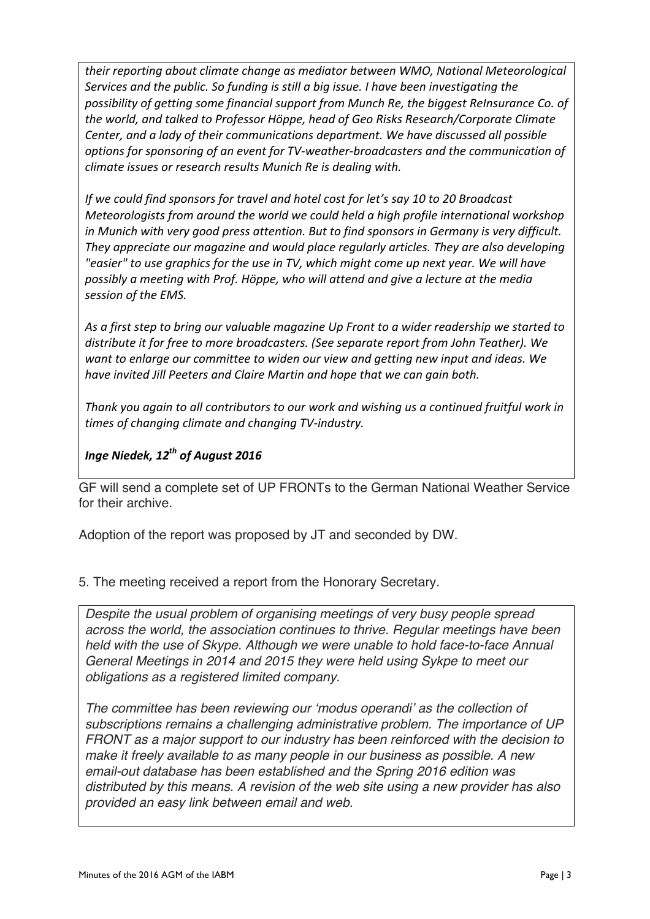their reporting about climate change as mediator between WMO, National Meteorological *Services and the public. So funding is still a big issue. I have been investigating the* possibility of getting some financial support from Munch Re, the biggest ReInsurance Co. of *the world, and talked to Professor Höppe, head of Geo Risks Research/Corporate Climate Center, and a lady of their communications department. We have discussed all possible options for sponsoring of an event for TV-weather-broadcasters and the communication of climate issues or research results Munich Re is dealing with.* 

*If* we could find sponsors for travel and hotel cost for let's say 10 to 20 Broadcast *Meteorologists from around the world we could held a high profile international workshop* in Munich with very good press attention. But to find sponsors in Germany is very difficult. They appreciate our magazine and would place regularly articles. They are also developing *"easier"* to use graphics for the use in TV, which might come up next year. We will have possibly a meeting with Prof. Höppe, who will attend and give a lecture at the media session of the EMS.

As a first step to bring our valuable magazine Up Front to a wider readership we started to distribute it for free to more broadcasters. (See separate report from John Teather). We want to enlarge our committee to widen our view and getting new input and ideas. We *have invited Jill Peeters and Claire Martin and hope that we can gain both.* 

Thank you again to all contributors to our work and wishing us a continued fruitful work in times of changing climate and changing TV-industry.

## *Inge Niedek, 12<sup>th</sup> of August 2016*

GF will send a complete set of UP FRONTs to the German National Weather Service for their archive.

Adoption of the report was proposed by JT and seconded by DW.

5. The meeting received a report from the Honorary Secretary.

*Despite the usual problem of organising meetings of very busy people spread across the world, the association continues to thrive. Regular meetings have been held with the use of Skype. Although we were unable to hold face-to-face Annual General Meetings in 2014 and 2015 they were held using Sykpe to meet our obligations as a registered limited company.*

*The committee has been reviewing our 'modus operandi' as the collection of subscriptions remains a challenging administrative problem. The importance of UP FRONT as a major support to our industry has been reinforced with the decision to make it freely available to as many people in our business as possible. A new email-out database has been established and the Spring 2016 edition was distributed by this means. A revision of the web site using a new provider has also provided an easy link between email and web.*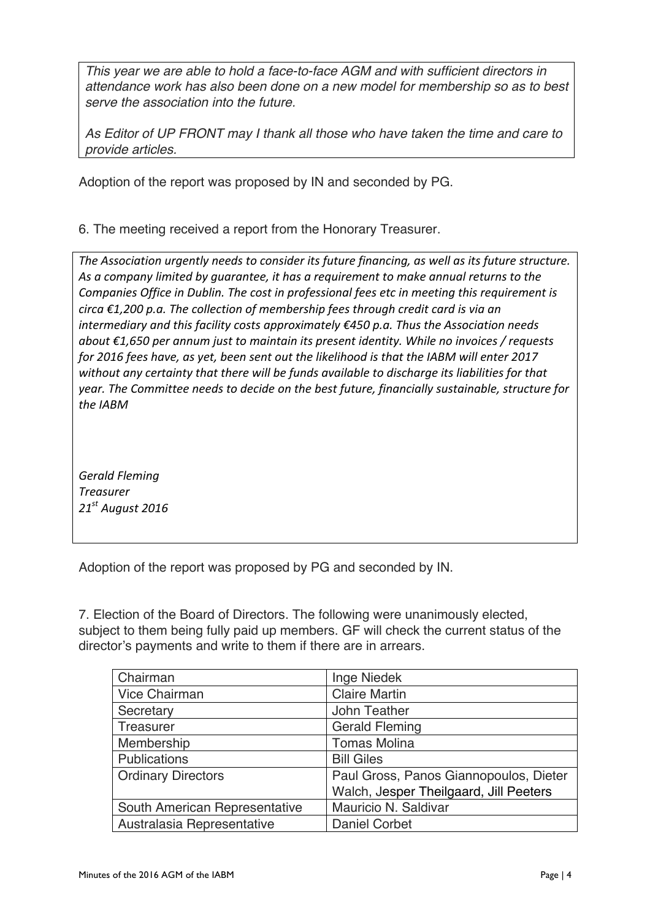*This year we are able to hold a face-to-face AGM and with sufficient directors in attendance work has also been done on a new model for membership so as to best serve the association into the future.*

*As Editor of UP FRONT may I thank all those who have taken the time and care to provide articles.* 

Adoption of the report was proposed by IN and seconded by PG.

6. The meeting received a report from the Honorary Treasurer.

The Association urgently needs to consider its future financing, as well as its future structure. As a company limited by guarantee, it has a requirement to make annual returns to the *Companies Office in Dublin. The cost in professional fees etc in meeting this requirement is circa* €1,200 p.a. The collection of membership fees through credit card is via an *intermediary and this facility costs approximately* €450 p.a. Thus the Association needs *about* €1,650 per annum just to maintain its present identity. While no invoices / requests for 2016 fees have, as yet, been sent out the likelihood is that the IABM will enter 2017 without any certainty that there will be funds available to discharge its liabilities for that *year.* The Committee needs to decide on the best future, financially sustainable, structure for *the IABM*

*Gerald Fleming Treasurer 21st August 2016*

Adoption of the report was proposed by PG and seconded by IN.

7. Election of the Board of Directors. The following were unanimously elected, subject to them being fully paid up members. GF will check the current status of the director's payments and write to them if there are in arrears.

| Chairman                      | Inge Niedek                            |
|-------------------------------|----------------------------------------|
| Vice Chairman                 | <b>Claire Martin</b>                   |
| Secretary                     | John Teather                           |
| Treasurer                     | <b>Gerald Fleming</b>                  |
| Membership                    | <b>Tomas Molina</b>                    |
| Publications                  | <b>Bill Giles</b>                      |
| <b>Ordinary Directors</b>     | Paul Gross, Panos Giannopoulos, Dieter |
|                               | Walch, Jesper Theilgaard, Jill Peeters |
| South American Representative | Mauricio N. Saldivar                   |
| Australasia Representative    | <b>Daniel Corbet</b>                   |